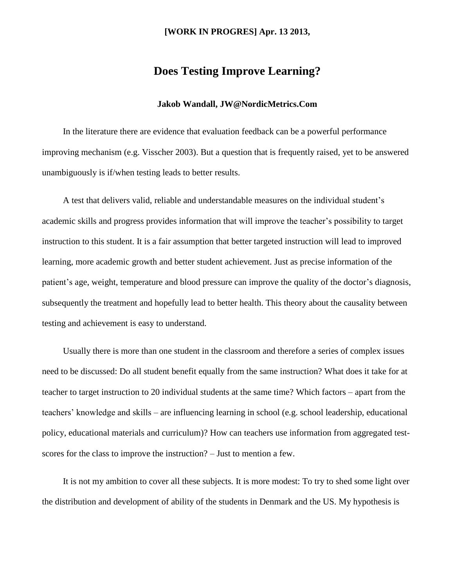# **Does Testing Improve Learning?**

#### **Jakob Wandall, JW@NordicMetrics.Com**

In the literature there are evidence that evaluation feedback can be a powerful performance improving mechanism (e.g. Visscher 2003). But a question that is frequently raised, yet to be answered unambiguously is if/when testing leads to better results.

A test that delivers valid, reliable and understandable measures on the individual student's academic skills and progress provides information that will improve the teacher's possibility to target instruction to this student. It is a fair assumption that better targeted instruction will lead to improved learning, more academic growth and better student achievement. Just as precise information of the patient's age, weight, temperature and blood pressure can improve the quality of the doctor's diagnosis, subsequently the treatment and hopefully lead to better health. This theory about the causality between testing and achievement is easy to understand.

Usually there is more than one student in the classroom and therefore a series of complex issues need to be discussed: Do all student benefit equally from the same instruction? What does it take for at teacher to target instruction to 20 individual students at the same time? Which factors – apart from the teachers' knowledge and skills – are influencing learning in school (e.g. school leadership, educational policy, educational materials and curriculum)? How can teachers use information from aggregated testscores for the class to improve the instruction? – Just to mention a few.

It is not my ambition to cover all these subjects. It is more modest: To try to shed some light over the distribution and development of ability of the students in Denmark and the US. My hypothesis is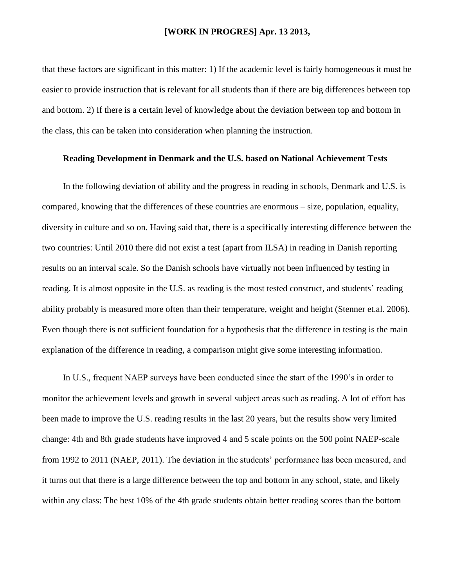that these factors are significant in this matter: 1) If the academic level is fairly homogeneous it must be easier to provide instruction that is relevant for all students than if there are big differences between top and bottom. 2) If there is a certain level of knowledge about the deviation between top and bottom in the class, this can be taken into consideration when planning the instruction.

### **Reading Development in Denmark and the U.S. based on National Achievement Tests**

In the following deviation of ability and the progress in reading in schools, Denmark and U.S. is compared, knowing that the differences of these countries are enormous – size, population, equality, diversity in culture and so on. Having said that, there is a specifically interesting difference between the two countries: Until 2010 there did not exist a test (apart from ILSA) in reading in Danish reporting results on an interval scale. So the Danish schools have virtually not been influenced by testing in reading. It is almost opposite in the U.S. as reading is the most tested construct, and students' reading ability probably is measured more often than their temperature, weight and height (Stenner et.al. 2006). Even though there is not sufficient foundation for a hypothesis that the difference in testing is the main explanation of the difference in reading, a comparison might give some interesting information.

In U.S., frequent NAEP surveys have been conducted since the start of the 1990's in order to monitor the achievement levels and growth in several subject areas such as reading. A lot of effort has been made to improve the U.S. reading results in the last 20 years, but the results show very limited change: 4th and 8th grade students have improved 4 and 5 scale points on the 500 point NAEP-scale from 1992 to 2011 (NAEP, 2011). The deviation in the students' performance has been measured, and it turns out that there is a large difference between the top and bottom in any school, state, and likely within any class: The best 10% of the 4th grade students obtain better reading scores than the bottom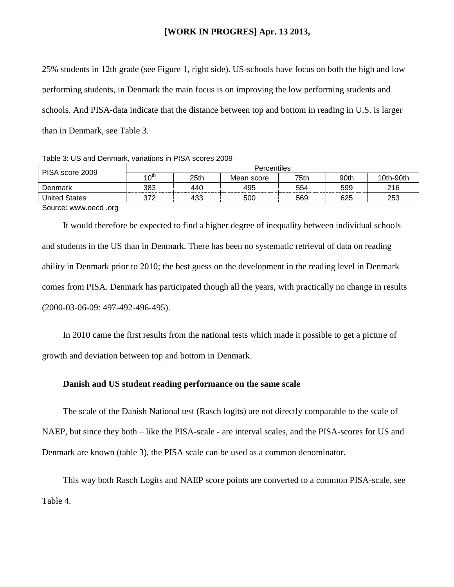25% students in 12th grade (see Figure 1, right side). US-schools have focus on both the high and low performing students, in Denmark the main focus is on improving the low performing students and schools. And PISA-data indicate that the distance between top and bottom in reading in U.S. is larger than in Denmark, see Table 3.

Table 3: US and Denmark, variations in PISA scores 2009

| PISA score 2009          | Percentiles   |      |            |      |      |           |  |
|--------------------------|---------------|------|------------|------|------|-----------|--|
|                          | $10^{\sf th}$ | 25th | Mean score | 75th | 90th | 10th-90th |  |
| Denmark                  | 383           | 440  | 495        | 554  | 599  | 216       |  |
| United States            | 372           | 433  | 500        | 569  | 625  | 253       |  |
| $\overline{\phantom{a}}$ |               |      |            |      |      |           |  |

Source: www.oecd .org

It would therefore be expected to find a higher degree of inequality between individual schools and students in the US than in Denmark. There has been no systematic retrieval of data on reading ability in Denmark prior to 2010; the best guess on the development in the reading level in Denmark comes from PISA. Denmark has participated though all the years, with practically no change in results (2000-03-06-09: 497-492-496-495).

In 2010 came the first results from the national tests which made it possible to get a picture of growth and deviation between top and bottom in Denmark.

### **Danish and US student reading performance on the same scale**

The scale of the Danish National test (Rasch logits) are not directly comparable to the scale of NAEP, but since they both – like the PISA-scale - are interval scales, and the PISA-scores for US and Denmark are known (table 3), the PISA scale can be used as a common denominator.

This way both Rasch Logits and NAEP score points are converted to a common PISA-scale, see Table 4.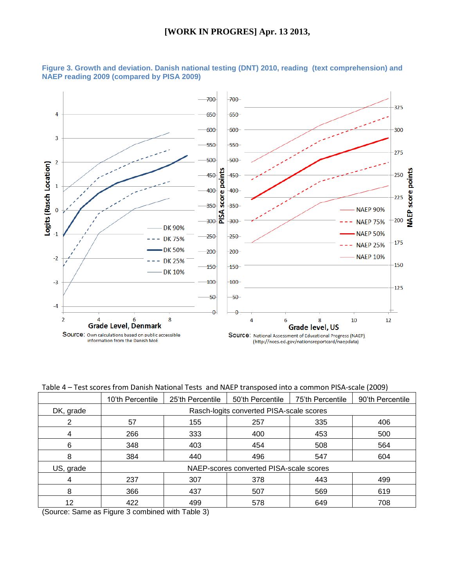



Table 4 – Test scores from Danish National Tests and NAEP transposed into a common PISA-scale (2009)

|              | 10'th Percentile                         | 25'th Percentile | 50'th Percentile | 75'th Percentile | 90'th Percentile |  |  |
|--------------|------------------------------------------|------------------|------------------|------------------|------------------|--|--|
| DK, grade    | Rasch-logits converted PISA-scale scores |                  |                  |                  |                  |  |  |
| 2            | 57                                       | 155              | 257              | 335              | 406              |  |  |
| 4            | 266                                      | 333              | 400              | 453              | 500              |  |  |
| 6            | 348                                      | 403              | 454              | 508              | 564              |  |  |
| 8            | 384                                      | 440              | 496              | 547              | 604              |  |  |
| US, grade    | NAEP-scores converted PISA-scale scores  |                  |                  |                  |                  |  |  |
| 4            | 237                                      | 307              | 378              | 443              | 499              |  |  |
| 8            | 366                                      | 437              | 507              | 569              | 619              |  |  |
| 12<br>$\sim$ | 422<br>--                                | 499              | 578              | 649              | 708              |  |  |

(Source: Same as Figure 3 combined with Table 3)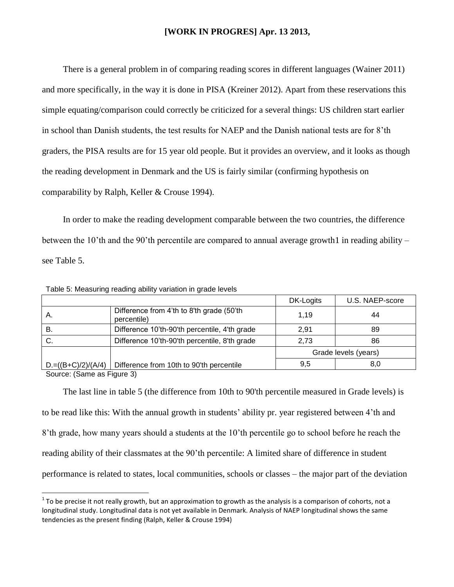There is a general problem in of comparing reading scores in different languages (Wainer 2011) and more specifically, in the way it is done in PISA (Kreiner 2012). Apart from these reservations this simple equating/comparison could correctly be criticized for a several things: US children start earlier in school than Danish students, the test results for NAEP and the Danish national tests are for 8'th graders, the PISA results are for 15 year old people. But it provides an overview, and it looks as though the reading development in Denmark and the US is fairly similar (confirming hypothesis on comparability by Ralph, Keller & Crouse 1994).

In order to make the reading development comparable between the two countries, the difference between the 10'th and the 90'th percentile are compared to annual average growth1 in reading ability – see Table 5.

|                       |                                                          | DK-Logits            | U.S. NAEP-score |  |  |
|-----------------------|----------------------------------------------------------|----------------------|-----------------|--|--|
| А.                    | Difference from 4'th to 8'th grade (50'th<br>percentile) | 1.19                 | 44              |  |  |
| В.                    | Difference 10'th-90'th percentile, 4'th grade            | 2.91                 | 89              |  |  |
| C.                    | Difference 10'th-90'th percentile, 8'th grade            | 2.73                 | 86              |  |  |
|                       |                                                          | Grade levels (years) |                 |  |  |
| $D = ((B+C)/2)/(A/4)$ | Difference from 10th to 90'th percentile                 | 9,5                  | 8,0             |  |  |
|                       |                                                          |                      |                 |  |  |

Table 5: Measuring reading ability variation in grade levels

Source: (Same as Figure 3)

 $\overline{\phantom{a}}$ 

The last line in table 5 (the difference from 10th to 90'th percentile measured in Grade levels) is to be read like this: With the annual growth in students' ability pr. year registered between 4'th and 8'th grade, how many years should a students at the 10'th percentile go to school before he reach the reading ability of their classmates at the 90'th percentile: A limited share of difference in student performance is related to states, local communities, schools or classes – the major part of the deviation

 $^1$  To be precise it not really growth, but an approximation to growth as the analysis is a comparison of cohorts, not a longitudinal study. Longitudinal data is not yet available in Denmark. Analysis of NAEP longitudinal shows the same tendencies as the present finding (Ralph, Keller & Crouse 1994)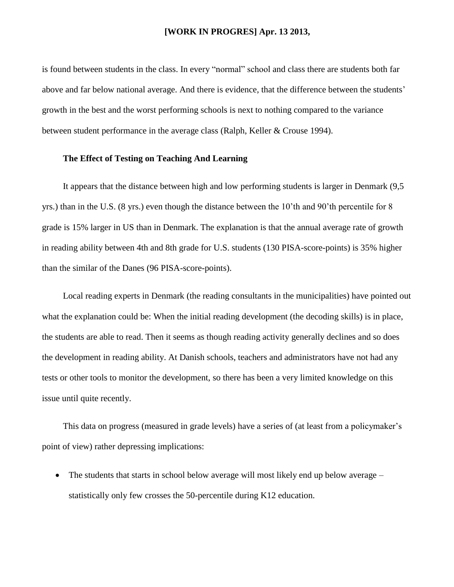is found between students in the class. In every "normal" school and class there are students both far above and far below national average. And there is evidence, that the difference between the students' growth in the best and the worst performing schools is next to nothing compared to the variance between student performance in the average class (Ralph, Keller & Crouse 1994).

### **The Effect of Testing on Teaching And Learning**

It appears that the distance between high and low performing students is larger in Denmark (9,5 yrs.) than in the U.S. (8 yrs.) even though the distance between the 10'th and 90'th percentile for 8 grade is 15% larger in US than in Denmark. The explanation is that the annual average rate of growth in reading ability between 4th and 8th grade for U.S. students (130 PISA-score-points) is 35% higher than the similar of the Danes (96 PISA-score-points).

Local reading experts in Denmark (the reading consultants in the municipalities) have pointed out what the explanation could be: When the initial reading development (the decoding skills) is in place, the students are able to read. Then it seems as though reading activity generally declines and so does the development in reading ability. At Danish schools, teachers and administrators have not had any tests or other tools to monitor the development, so there has been a very limited knowledge on this issue until quite recently.

This data on progress (measured in grade levels) have a series of (at least from a policymaker's point of view) rather depressing implications:

• The students that starts in school below average will most likely end up below average – statistically only few crosses the 50-percentile during K12 education.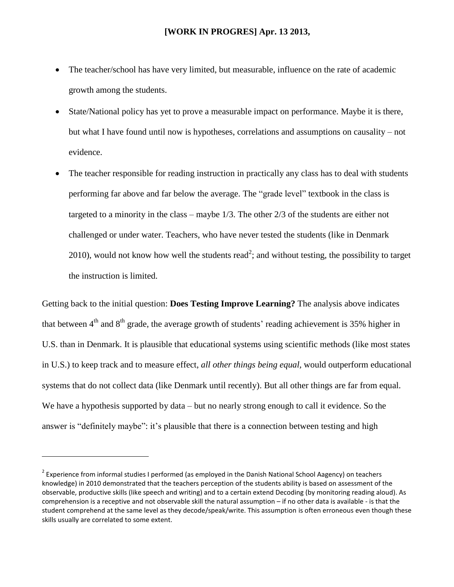- The teacher/school has have very limited, but measurable, influence on the rate of academic growth among the students.
- State/National policy has yet to prove a measurable impact on performance. Maybe it is there, but what I have found until now is hypotheses, correlations and assumptions on causality – not evidence.
- The teacher responsible for reading instruction in practically any class has to deal with students performing far above and far below the average. The "grade level" textbook in the class is targeted to a minority in the class – maybe 1/3. The other 2/3 of the students are either not challenged or under water. Teachers, who have never tested the students (like in Denmark 2010), would not know how well the students read<sup>2</sup>; and without testing, the possibility to target the instruction is limited.

Getting back to the initial question: **Does Testing Improve Learning?** The analysis above indicates that between  $4<sup>th</sup>$  and  $8<sup>th</sup>$  grade, the average growth of students' reading achievement is 35% higher in U.S. than in Denmark. It is plausible that educational systems using scientific methods (like most states in U.S.) to keep track and to measure effect, *all other things being equal,* would outperform educational systems that do not collect data (like Denmark until recently). But all other things are far from equal. We have a hypothesis supported by data – but no nearly strong enough to call it evidence. So the answer is "definitely maybe": it's plausible that there is a connection between testing and high

 $\overline{\phantom{a}}$ 

<sup>&</sup>lt;sup>2</sup> Experience from informal studies I performed (as employed in the Danish National School Aagency) on teachers knowledge) in 2010 demonstrated that the teachers perception of the students ability is based on assessment of the observable, productive skills (like speech and writing) and to a certain extend Decoding (by monitoring reading aloud). As comprehension is a receptive and not observable skill the natural assumption – if no other data is available - is that the student comprehend at the same level as they decode/speak/write. This assumption is often erroneous even though these skills usually are correlated to some extent.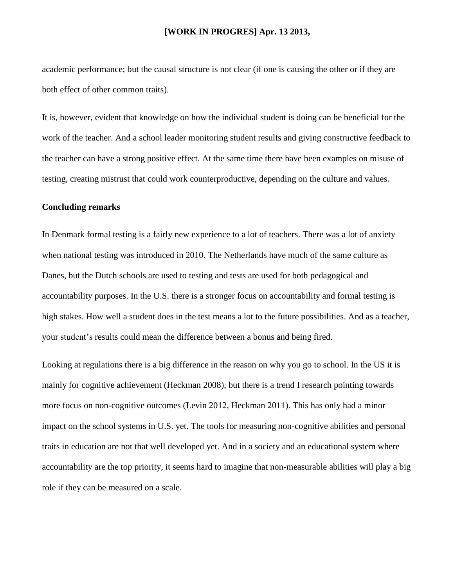academic performance; but the causal structure is not clear (if one is causing the other or if they are both effect of other common traits).

It is, however, evident that knowledge on how the individual student is doing can be beneficial for the work of the teacher. And a school leader monitoring student results and giving constructive feedback to the teacher can have a strong positive effect. At the same time there have been examples on misuse of testing, creating mistrust that could work counterproductive, depending on the culture and values.

#### **Concluding remarks**

In Denmark formal testing is a fairly new experience to a lot of teachers. There was a lot of anxiety when national testing was introduced in 2010. The Netherlands have much of the same culture as Danes, but the Dutch schools are used to testing and tests are used for both pedagogical and accountability purposes. In the U.S. there is a stronger focus on accountability and formal testing is high stakes. How well a student does in the test means a lot to the future possibilities. And as a teacher, your student's results could mean the difference between a bonus and being fired.

Looking at regulations there is a big difference in the reason on why you go to school. In the US it is mainly for cognitive achievement (Heckman 2008), but there is a trend I research pointing towards more focus on non-cognitive outcomes (Levin 2012, Heckman 2011). This has only had a minor impact on the school systems in U.S. yet. The tools for measuring non-cognitive abilities and personal traits in education are not that well developed yet. And in a society and an educational system where accountability are the top priority, it seems hard to imagine that non-measurable abilities will play a big role if they can be measured on a scale.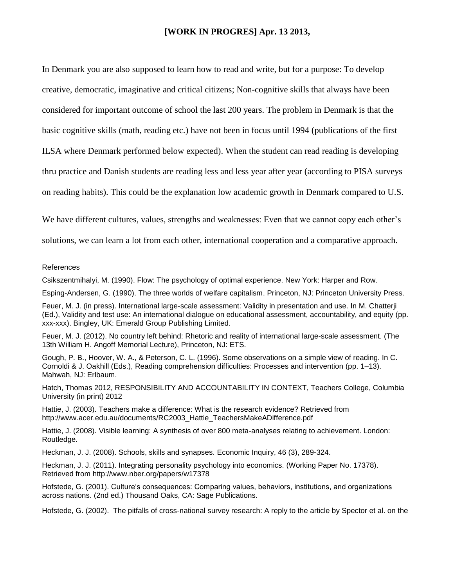In Denmark you are also supposed to learn how to read and write, but for a purpose: To develop creative, democratic, imaginative and critical citizens; Non-cognitive skills that always have been considered for important outcome of school the last 200 years. The problem in Denmark is that the basic cognitive skills (math, reading etc.) have not been in focus until 1994 (publications of the first ILSA where Denmark performed below expected). When the student can read reading is developing thru practice and Danish students are reading less and less year after year (according to PISA surveys on reading habits). This could be the explanation low academic growth in Denmark compared to U.S.

We have different cultures, values, strengths and weaknesses: Even that we cannot copy each other's

solutions, we can learn a lot from each other, international cooperation and a comparative approach.

#### References

Csikszentmihalyi, M. (1990). Flow: The psychology of optimal experience. New York: Harper and Row.

Esping-Andersen, G. (1990). The three worlds of welfare capitalism. Princeton, NJ: Princeton University Press.

Feuer, M. J. (in press). International large-scale assessment: Validity in presentation and use. In M. Chatterji (Ed.), Validity and test use: An international dialogue on educational assessment, accountability, and equity (pp. xxx-xxx). Bingley, UK: Emerald Group Publishing Limited.

Feuer, M. J. (2012). No country left behind: Rhetoric and reality of international large-scale assessment. (The 13th William H. Angoff Memorial Lecture), Princeton, NJ: ETS.

Gough, P. B., Hoover, W. A., & Peterson, C. L. (1996). Some observations on a simple view of reading. In C. Cornoldi & J. Oakhill (Eds.), Reading comprehension difficulties: Processes and intervention (pp. 1–13). Mahwah, NJ: Erlbaum.

Hatch, Thomas 2012, RESPONSIBILITY AND ACCOUNTABILITY IN CONTEXT, Teachers College, Columbia University (in print) 2012

Hattie, J. (2003). Teachers make a difference: What is the research evidence? Retrieved from http://www.acer.edu.au/documents/RC2003\_Hattie\_TeachersMakeADifference.pdf

Hattie, J. (2008). Visible learning: A synthesis of over 800 meta-analyses relating to achievement. London: Routledge.

Heckman, J. J. (2008). Schools, skills and synapses. Economic Inquiry, 46 (3), 289-324.

Heckman, J. J. (2011). Integrating personality psychology into economics. (Working Paper No. 17378). Retrieved from http://www.nber.org/papers/w17378

Hofstede, G. (2001). Culture's consequences: Comparing values, behaviors, institutions, and organizations across nations. (2nd ed.) Thousand Oaks, CA: Sage Publications.

Hofstede, G. (2002). The pitfalls of cross-national survey research: A reply to the article by Spector et al. on the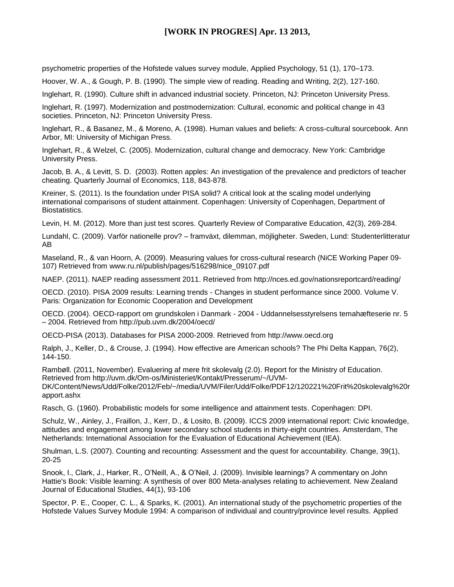psychometric properties of the Hofstede values survey module, Applied Psychology, 51 (1), 170–173.

Hoover, W. A., & Gough, P. B. (1990). The simple view of reading. Reading and Writing, 2(2), 127-160.

Inglehart, R. (1990). Culture shift in advanced industrial society. Princeton, NJ: Princeton University Press.

Inglehart, R. (1997). Modernization and postmodernization: Cultural, economic and political change in 43 societies. Princeton, NJ: Princeton University Press.

Inglehart, R., & Basanez, M., & Moreno, A. (1998). Human values and beliefs: A cross-cultural sourcebook. Ann Arbor, MI: University of Michigan Press.

Inglehart, R., & Welzel, C. (2005). Modernization, cultural change and democracy. New York: Cambridge University Press.

Jacob, B. A., & Levitt, S. D. (2003). Rotten apples: An investigation of the prevalence and predictors of teacher cheating. Quarterly Journal of Economics, 118, 843-878.

Kreiner, S. (2011). Is the foundation under PISA solid? A critical look at the scaling model underlying international comparisons of student attainment. Copenhagen: University of Copenhagen, Department of Biostatistics.

Levin, H. M. (2012). More than just test scores. Quarterly Review of Comparative Education, 42(3), 269-284.

Lundahl, C. (2009). Varför nationelle prov? – framväxt, dilemman, möjligheter. Sweden, Lund: Studenterlitteratur AB

Maseland, R., & van Hoorn, A. (2009). Measuring values for cross-cultural research (NiCE Working Paper 09- 107) Retrieved from www.ru.nl/publish/pages/516298/nice\_09107.pdf

NAEP. (2011). NAEP reading assessment 2011. Retrieved from http://nces.ed.gov/nationsreportcard/reading/

OECD. (2010). PISA 2009 results: Learning trends - Changes in student performance since 2000. Volume V. Paris: Organization for Economic Cooperation and Development

OECD. (2004). OECD-rapport om grundskolen i Danmark - 2004 - Uddannelsesstyrelsens temahæfteserie nr. 5 – 2004. Retrieved from http://pub.uvm.dk/2004/oecd/

OECD-PISA (2013). Databases for PISA 2000-2009. Retrieved from http://www.oecd.org

Ralph, J., Keller, D., & Crouse, J. (1994). How effective are American schools? The Phi Delta Kappan, 76(2), 144-150.

Rambøll. (2011, November). Evaluering af mere frit skolevalg (2.0). Report for the Ministry of Education. Retrieved from http://uvm.dk/Om-os/Ministeriet/Kontakt/Presserum/~/UVM-

DK/Content/News/Udd/Folke/2012/Feb/~/media/UVM/Filer/Udd/Folke/PDF12/120221%20Frit%20skolevalg%20r apport.ashx

Rasch, G. (1960). Probabilistic models for some intelligence and attainment tests. Copenhagen: DPI.

Schulz, W., Ainley, J., Fraillon, J., Kerr, D., & Losito, B. (2009). ICCS 2009 international report: Civic knowledge, attitudes and engagement among lower secondary school students in thirty-eight countries. Amsterdam, The Netherlands: International Association for the Evaluation of Educational Achievement (IEA).

Shulman, L.S. (2007). Counting and recounting: Assessment and the quest for accountability. Change, 39(1), 20-25

Snook, I., Clark, J., Harker, R., O'Neill, A., & O'Neil, J. (2009). Invisible learnings? A commentary on John Hattie's Book: Visible learning: A synthesis of over 800 Meta-analyses relating to achievement. New Zealand Journal of Educational Studies, 44(1), 93-106

Spector, P. E., Cooper, C. L., & Sparks, K. (2001). An international study of the psychometric properties of the Hofstede Values Survey Module 1994: A comparison of individual and country/province level results. Applied